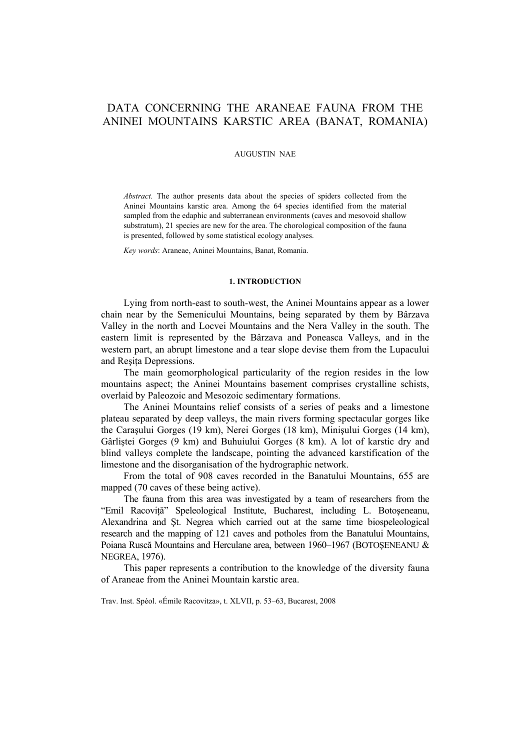# DATA CONCERNING THE ARANEAE FAUNA FROM THE ANINEI MOUNTAINS KARSTIC AREA (BANAT, ROMANIA)

## AUGUSTIN NAE

*Abstract.* The author presents data about the species of spiders collected from the Aninei Mountains karstic area. Among the 64 species identified from the material sampled from the edaphic and subterranean environments (caves and mesovoid shallow substratum), 21 species are new for the area. The chorological composition of the fauna is presented, followed by some statistical ecology analyses.

*Key words*: Araneae, Aninei Mountains, Banat, Romania.

#### **1. INTRODUCTION**

Lying from north-east to south-west, the Aninei Mountains appear as a lower chain near by the Semenicului Mountains, being separated by them by Bârzava Valley in the north and Locvei Mountains and the Nera Valley in the south. The eastern limit is represented by the Bârzava and Poneasca Valleys, and in the western part, an abrupt limestone and a tear slope devise them from the Lupacului and Reşiţa Depressions.

The main geomorphological particularity of the region resides in the low mountains aspect; the Aninei Mountains basement comprises crystalline schists, overlaid by Paleozoic and Mesozoic sedimentary formations.

The Aninei Mountains relief consists of a series of peaks and a limestone plateau separated by deep valleys, the main rivers forming spectacular gorges like the Caraşului Gorges (19 km), Nerei Gorges (18 km), Minişului Gorges (14 km), Gârliştei Gorges (9 km) and Buhuiului Gorges (8 km). A lot of karstic dry and blind valleys complete the landscape, pointing the advanced karstification of the limestone and the disorganisation of the hydrographic network.

From the total of 908 caves recorded in the Banatului Mountains, 655 are mapped (70 caves of these being active).

The fauna from this area was investigated by a team of researchers from the "Emil Racoviţă" Speleological Institute, Bucharest, including L. Botoşeneanu, Alexandrina and Şt. Negrea which carried out at the same time biospeleological research and the mapping of 121 caves and potholes from the Banatului Mountains, Poiana Ruscă Mountains and Herculane area, between 1960–1967 (BOTOŞENEANU & NEGREA, 1976).

This paper represents a contribution to the knowledge of the diversity fauna of Araneae from the Aninei Mountain karstic area.

Trav. Inst. Spéol. «Émile Racovitza», t. XLVII, p. 53–63, Bucarest, 2008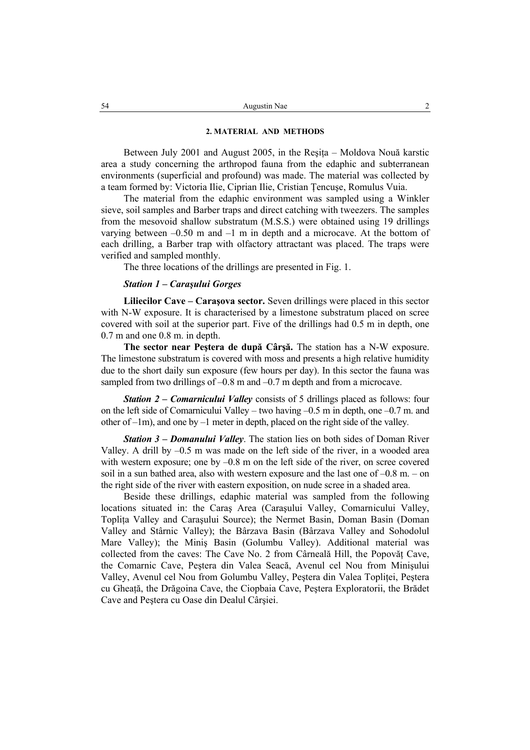## **2. MATERIAL AND METHODS**

Between July 2001 and August 2005, in the Resita – Moldova Nouă karstic area a study concerning the arthropod fauna from the edaphic and subterranean environments (superficial and profound) was made. The material was collected by a team formed by: Victoria Ilie, Ciprian Ilie, Cristian Ţencuşe, Romulus Vuia.

The material from the edaphic environment was sampled using a Winkler sieve, soil samples and Barber traps and direct catching with tweezers. The samples from the mesovoid shallow substratum (M.S.S.) were obtained using 19 drillings varying between –0.50 m and –1 m in depth and a microcave. At the bottom of each drilling, a Barber trap with olfactory attractant was placed. The traps were verified and sampled monthly.

The three locations of the drillings are presented in Fig. 1.

## *Station 1 – Caraşului Gorges*

**Liliecilor Cave – Caraşova sector.** Seven drillings were placed in this sector with N-W exposure. It is characterised by a limestone substratum placed on scree covered with soil at the superior part. Five of the drillings had 0.5 m in depth, one  $0.7$  m and one  $0.8$  m. in depth.

**The sector near Peştera de după Cârşă.** The station has a N-W exposure. The limestone substratum is covered with moss and presents a high relative humidity due to the short daily sun exposure (few hours per day). In this sector the fauna was sampled from two drillings of –0.8 m and –0.7 m depth and from a microcave.

*Station 2 – Comarnicului Valley* consists of 5 drillings placed as follows: four on the left side of Comarnicului Valley – two having –0.5 m in depth, one –0.7 m. and other of –1m), and one by –1 meter in depth, placed on the right side of the valley*.*

*Station 3 – Domanului Valley*. The station lies on both sides of Doman River Valley. A drill by –0.5 m was made on the left side of the river, in a wooded area with western exposure; one by  $-0.8$  m on the left side of the river, on scree covered soil in a sun bathed area, also with western exposure and the last one of  $-0.8$  m.  $-$  on the right side of the river with eastern exposition, on nude scree in a shaded area.

Beside these drillings, edaphic material was sampled from the following locations situated in: the Caraş Area (Caraşului Valley, Comarnicului Valley, Topliţa Valley and Caraşului Source); the Nermet Basin, Doman Basin (Doman Valley and Stârnic Valley); the Bârzava Basin (Bârzava Valley and Sohodolul Mare Valley); the Miniş Basin (Golumbu Valley). Additional material was collected from the caves: The Cave No. 2 from Cârneală Hill, the Popovăt Cave, the Comarnic Cave, Peştera din Valea Seacă, Avenul cel Nou from Minişului Valley, Avenul cel Nou from Golumbu Valley, Pestera din Valea Toplitei, Pestera cu Gheaţă, the Drăgoina Cave, the Ciopbaia Cave, Peştera Exploratorii, the Brădet Cave and Peştera cu Oase din Dealul Cârşiei.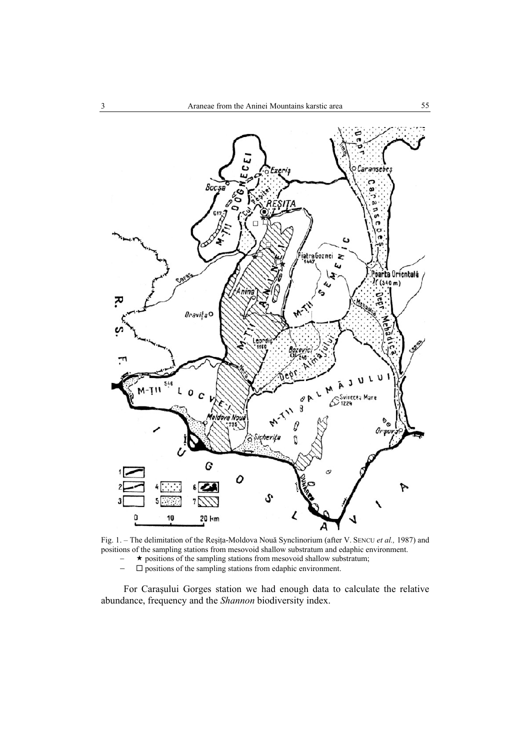

Fig. 1. – The delimitation of the Reşiţa-Moldova Nouă Synclinorium (after V. SENCU *et al.,* 1987) and positions of the sampling stations from mesovoid shallow substratum and edaphic environment.

− **★** positions of the sampling stations from mesovoid shallow substratum;<br>
- □ positions of the sampling stations from edaphic environment.

− positions of the sampling stations from edaphic environment.

For Caraşului Gorges station we had enough data to calculate the relative abundance, frequency and the *Shannon* biodiversity index.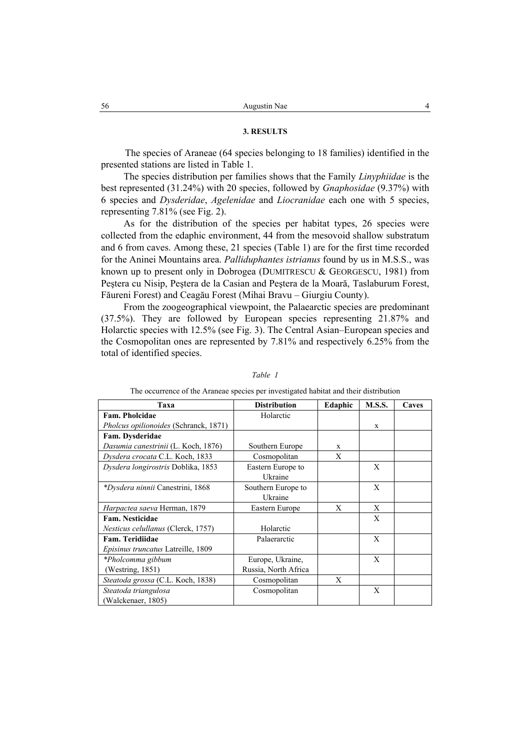## **3. RESULTS**

The species of Araneae (64 species belonging to 18 families) identified in the presented stations are listed in Table 1.

The species distribution per families shows that the Family *Linyphiidae* is the best represented (31.24%) with 20 species, followed by *Gnaphosidae* (9.37%) with 6 species and *Dysderidae*, *Agelenidae* and *Liocranidae* each one with 5 species, representing 7.81% (see Fig. 2).

As for the distribution of the species per habitat types, 26 species were collected from the edaphic environment, 44 from the mesovoid shallow substratum and 6 from caves. Among these, 21 species (Table 1) are for the first time recorded for the Aninei Mountains area. *Palliduphantes istrianus* found by us in M.S.S., was known up to present only in Dobrogea (DUMITRESCU & GEORGESCU, 1981) from Peştera cu Nisip, Peştera de la Casian and Peştera de la Moară, Taslaburum Forest, Făureni Forest) and Ceagău Forest (Mihai Bravu – Giurgiu County).

From the zoogeographical viewpoint, the Palaearctic species are predominant (37.5%). They are followed by European species representing 21.87% and Holarctic species with 12.5% (see Fig. 3). The Central Asian–European species and the Cosmopolitan ones are represented by 7.81% and respectively 6.25% from the total of identified species.

| Taxa                                         | <b>Distribution</b>  | Edaphic | <b>M.S.S.</b> | Caves |
|----------------------------------------------|----------------------|---------|---------------|-------|
| Fam. Pholcidae                               | Holarctic            |         |               |       |
| <i>Pholcus opilionoides</i> (Schranck, 1871) |                      |         | X             |       |
| Fam. Dysderidae                              |                      |         |               |       |
| Dasumia canestrinii (L. Koch, 1876)          | Southern Europe      | X       |               |       |
| Dysdera crocata C.L. Koch, 1833              | Cosmopolitan         | X       |               |       |
| Dysdera longirostris Doblika, 1853           | Eastern Europe to    |         | X             |       |
|                                              | Ukraine              |         |               |       |
| <i>*Dysdera ninnii</i> Canestrini, 1868      | Southern Europe to   |         | X             |       |
|                                              | Ukraine              |         |               |       |
| Harpactea saeva Herman, 1879                 | Eastern Europe       | X       | X             |       |
| Fam. Nesticidae                              |                      |         | X             |       |
| Nesticus celullanus (Clerck, 1757)           | Holarctic            |         |               |       |
| Fam. Teridiidae                              | Palaerarctic         |         | X             |       |
| <i>Episinus truncatus</i> Latreille, 1809    |                      |         |               |       |
| *Pholcomma gibbum                            | Europe, Ukraine,     |         | X             |       |
| (Westring, $1851$ )                          | Russia, North Africa |         |               |       |
| Steatoda grossa (C.L. Koch, 1838)            | Cosmopolitan         | X       |               |       |
| Steatoda triangulosa                         | Cosmopolitan         |         | X             |       |
| (Walckenaer, 1805)                           |                      |         |               |       |

#### *Table 1*

#### The occurrence of the Araneae species per investigated habitat and their distribution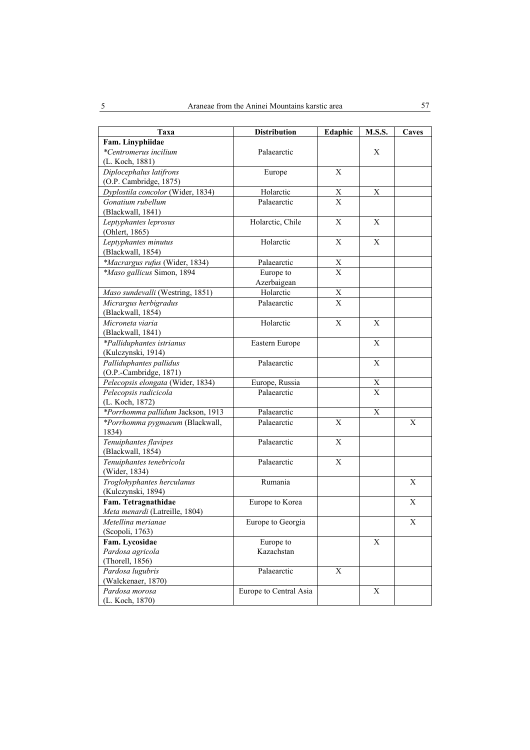| Taxa                              | <b>Distribution</b>    | Edaphic      | <b>M.S.S.</b>    | Caves |
|-----------------------------------|------------------------|--------------|------------------|-------|
| Fam. Linyphiidae                  |                        |              |                  |       |
| *Centromerus incilium             | Palaearctic            |              | Χ                |       |
| (L. Koch, 1881)                   |                        |              |                  |       |
| Diplocephalus latifrons           | Europe                 | $\mathbf{X}$ |                  |       |
| (O.P. Cambridge, 1875)            |                        |              |                  |       |
| Dyplostila concolor (Wider, 1834) | Holarctic              | $\mathbf X$  | X                |       |
| Gonatium rubellum                 | Palaearctic            | $\mathbf{X}$ |                  |       |
| (Blackwall, 1841)                 |                        |              |                  |       |
| Leptyphantes leprosus             | Holarctic, Chile       | $\mathbf X$  | X                |       |
| (Ohlert, 1865)                    |                        |              |                  |       |
| Leptyphantes minutus              | Holarctic              | $\mathbf X$  | X                |       |
| (Blackwall, 1854)                 |                        |              |                  |       |
| *Macrargus rufus (Wider, 1834)    | Palaearctic            | X            |                  |       |
| *Maso gallicus Simon, 1894        | Europe to              | $\mathbf X$  |                  |       |
|                                   | Azerbaigean            |              |                  |       |
| Maso sundevalli (Westring, 1851)  | Holarctic              | Χ            |                  |       |
| Micrargus herbigradus             | Palaearctic            | X            |                  |       |
| (Blackwall, 1854)                 |                        |              |                  |       |
| Microneta viaria                  | Holarctic              | $\mathbf X$  | X                |       |
| (Blackwall, 1841)                 |                        |              |                  |       |
| *Palliduphantes istrianus         | Eastern Europe         |              | $\mathbf X$      |       |
| (Kulczynski, 1914)                |                        |              |                  |       |
| Palliduphantes pallidus           | Palaearctic            |              | X                |       |
| (O.P.-Cambridge, 1871)            |                        |              |                  |       |
| Pelecopsis elongata (Wider, 1834) | Europe, Russia         |              | $\boldsymbol{X}$ |       |
| Pelecopsis radicicola             | Palaearctic            |              | $\mathbf{X}$     |       |
| (L. Koch, 1872)                   |                        |              |                  |       |
| *Porrhomma pallidum Jackson, 1913 | Palaearctic            |              | $\mathbf X$      |       |
| *Porrhomma pygmaeum (Blackwall,   | Palaearctic            | X            |                  | X     |
| 1834)                             |                        |              |                  |       |
| Tenuiphantes flavipes             | Palaearctic            | X            |                  |       |
| (Blackwall, 1854)                 |                        |              |                  |       |
| Tenuiphantes tenebricola          | Palaearctic            | $\mathbf X$  |                  |       |
| (Wider, 1834)                     |                        |              |                  |       |
| Troglohyphantes herculanus        | Rumania                |              |                  | X     |
| (Kulczynski, 1894)                |                        |              |                  |       |
| Fam. Tetragnathidae               | Europe to Korea        |              |                  | X     |
| Meta menardi (Latreille, 1804)    |                        |              |                  |       |
| Metellina merianae                | Europe to Georgia      |              |                  | X     |
| (Scopoli, 1763)                   |                        |              |                  |       |
| Fam. Lycosidae                    | Europe to              |              | $\mathbf X$      |       |
| Pardosa agricola                  | Kazachstan             |              |                  |       |
| (Thorell, 1856)                   |                        |              |                  |       |
| Pardosa lugubris                  | Palaearctic            | $\mathbf X$  |                  |       |
| (Walckenaer, 1870)                |                        |              |                  |       |
| Pardosa morosa                    | Europe to Central Asia |              | Χ                |       |
| (L. Koch, 1870)                   |                        |              |                  |       |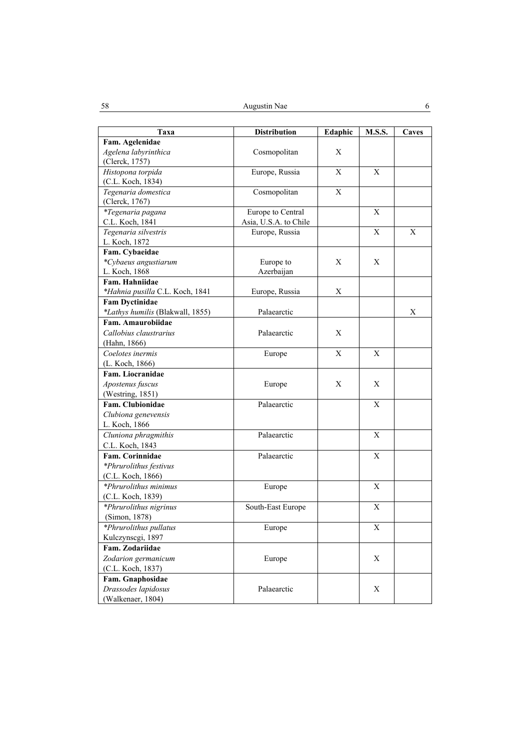| Taxa                                                  | <b>Distribution</b>   | Edaphic      | <b>M.S.S.</b> | Caves |
|-------------------------------------------------------|-----------------------|--------------|---------------|-------|
| Fam. Agelenidae                                       |                       |              |               |       |
| Agelena labyrinthica                                  | Cosmopolitan          | X            |               |       |
| (Clerck, 1757)                                        |                       |              |               |       |
| Histopona torpida                                     | Europe, Russia        | X            | X             |       |
| (C.L. Koch, 1834)                                     |                       |              |               |       |
| Tegenaria domestica                                   | Cosmopolitan          | X            |               |       |
| (Clerck, 1767)                                        |                       |              |               |       |
| *Tegenaria pagana                                     | Europe to Central     |              | X             |       |
| C.L. Koch, 1841                                       | Asia, U.S.A. to Chile |              |               |       |
| Tegenaria silvestris                                  | Europe, Russia        |              | Χ             | Χ     |
| L. Koch, 1872                                         |                       |              |               |       |
| Fam. Cybaeidae                                        |                       |              |               |       |
| *Cybaeus angustiarum                                  | Europe to             | X            | X             |       |
| L. Koch, 1868                                         | Azerbaijan            |              |               |       |
| Fam. Hahniidae                                        |                       |              |               |       |
| *Hahnia pusilla C.L. Koch, 1841                       | Europe, Russia        | X            |               |       |
| <b>Fam Dyctinidae</b>                                 |                       |              |               |       |
| *Lathys humilis (Blakwall, 1855)<br>Fam. Amaurobiidae | Palaearctic           |              |               | X     |
| Callobius claustrarius                                |                       |              |               |       |
|                                                       | Palaearctic           | X            |               |       |
| (Hahn, 1866)<br>Coelotes inermis                      |                       | $\mathbf{X}$ | X             |       |
|                                                       | Europe                |              |               |       |
| (L. Koch, 1866)<br>Fam. Liocranidae                   |                       |              |               |       |
| Apostenus fuscus                                      | Europe                | X            | X             |       |
| (Westring, 1851)                                      |                       |              |               |       |
| Fam. Clubionidae                                      | Palaearctic           |              | X             |       |
| Clubiona genevensis                                   |                       |              |               |       |
| L. Koch, 1866                                         |                       |              |               |       |
| Cluniona phragmithis                                  | Palaearctic           |              | X             |       |
| C.L. Koch, 1843                                       |                       |              |               |       |
| Fam. Corinnidae                                       | Palaearctic           |              | X             |       |
| *Phrurolithus festivus                                |                       |              |               |       |
| (C.L. Koch, 1866)                                     |                       |              |               |       |
| *Phrurolithus minimus                                 | Europe                |              | X             |       |
| (C.L. Koch, 1839)                                     |                       |              |               |       |
| *Phrurolithus nigrinus                                | South-East Europe     |              | X             |       |
| (Simon, 1878)                                         |                       |              |               |       |
| *Phrurolithus pullatus                                | Europe                |              | X             |       |
| Kulczynscgi, 1897                                     |                       |              |               |       |
| Fam. Zodariidae                                       |                       |              |               |       |
| Zodarion germanicum                                   | Europe                |              | X             |       |
| (C.L. Koch, 1837)                                     |                       |              |               |       |
| Fam. Gnaphosidae                                      |                       |              |               |       |
| Drassodes lapidosus                                   | Palaearctic           |              | $\mathbf X$   |       |
| (Walkenaer, 1804)                                     |                       |              |               |       |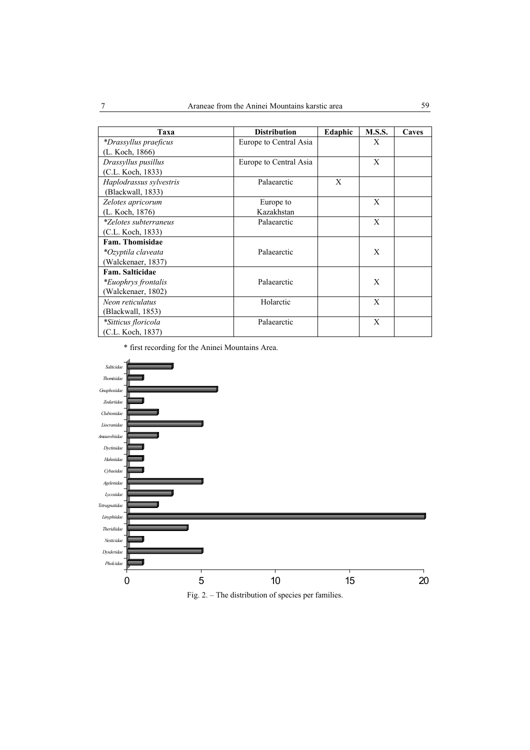| Taxa                         | <b>Distribution</b>    | Edaphic | <b>M.S.S.</b> | Caves |
|------------------------------|------------------------|---------|---------------|-------|
| *Drassyllus praeficus        | Europe to Central Asia |         | X             |       |
| (L. Koch, 1866)              |                        |         |               |       |
| Drassyllus pusillus          | Europe to Central Asia |         | X             |       |
| (C.L. Koch, 1833)            |                        |         |               |       |
| Haplodrassus sylvestris      | Palaearctic            | X       |               |       |
| (Blackwall, 1833)            |                        |         |               |       |
| Zelotes apricorum            | Europe to              |         | X             |       |
| (L. Koch, 1876)              | Kazakhstan             |         |               |       |
| <i>*Zelotes subterraneus</i> | Palaearctic            |         | X             |       |
| (C.L. Koch, 1833)            |                        |         |               |       |
| Fam. Thomisidae              |                        |         |               |       |
| *Ozyptila claveata           | Palaearctic            |         | X             |       |
| (Walckenaer, 1837)           |                        |         |               |       |
| Fam. Salticidae              |                        |         |               |       |
| *Euophrys frontalis          | Palaearctic            |         | X             |       |
| (Walckenaer, 1802)           |                        |         |               |       |
| Neon reticulatus             | Holarctic              |         | X             |       |
| (Blackwall, 1853)            |                        |         |               |       |
| *Sitticus floricola          | Palaearctic            |         | X             |       |
| (C.L. Koch, 1837)            |                        |         |               |       |

\* first recording for the Aninei Mountains Area.



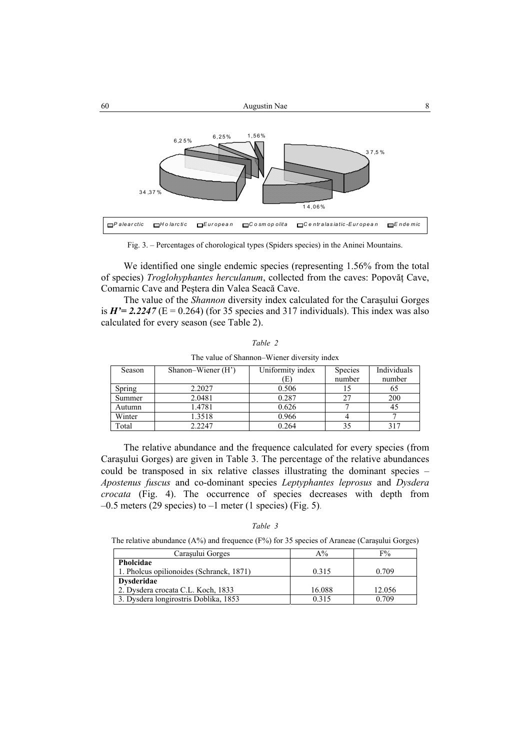

Fig. 3. – Percentages of chorological types (Spiders species) in the Aninei Mountains.

We identified one single endemic species (representing 1.56% from the total of species) *Troglohyphantes herculanum*, collected from the caves: Popovăţ Cave, Comarnic Cave and Peştera din Valea Seacă Cave.

The value of the *Shannon* diversity index calculated for the Caraşului Gorges is  $H' = 2.2247$  ( $E = 0.264$ ) (for 35 species and 317 individuals). This index was also calculated for every season (see Table 2).

| Season        | Shanon–Wiener (H') | Uniformity index | Species | Individuals |
|---------------|--------------------|------------------|---------|-------------|
|               |                    | E                | number  | number      |
| <b>Spring</b> | 2.2027             | 0.506            |         | 65          |
| Summer        | 2.0481             | 0.287            |         | 200         |
| Autumn        | 1.4781             | 0.626            |         | 45          |
| Winter        | 1.3518             | 0.966            |         |             |
| Total         | 2.2247             | 0.264            |         | 317         |

*Table 2* 

| The relative abundance and the frequence calculated for every species (from       |
|-----------------------------------------------------------------------------------|
| Carasului Gorges) are given in Table 3. The percentage of the relative abundances |
| could be transposed in six relative classes illustrating the dominant species –   |
| Apostenus fuscus and co-dominant species Leptyphantes leprosus and Dysdera        |
| <i>crocata</i> (Fig. 4). The occurrence of species decreases with depth from      |
| $-0.5$ meters (29 species) to $-1$ meter (1 species) (Fig. 5).                    |

The value of Shannon–Wiener diversity index

|--|--|

The relative abundance (A%) and frequence (F%) for 35 species of Araneae (Caraşului Gorges)

| Carasului Gorges                         | $A\%$  | F%     |
|------------------------------------------|--------|--------|
| Pholcidae                                |        |        |
| 1. Pholcus opilionoides (Schranck, 1871) | 0.315  | 0.709  |
| <b>Dysderidae</b>                        |        |        |
| 2. Dysdera crocata C.L. Koch, 1833       | 16.088 | 12.056 |
| 3. Dysdera longirostris Doblika, 1853    | 0.315  | 0.709  |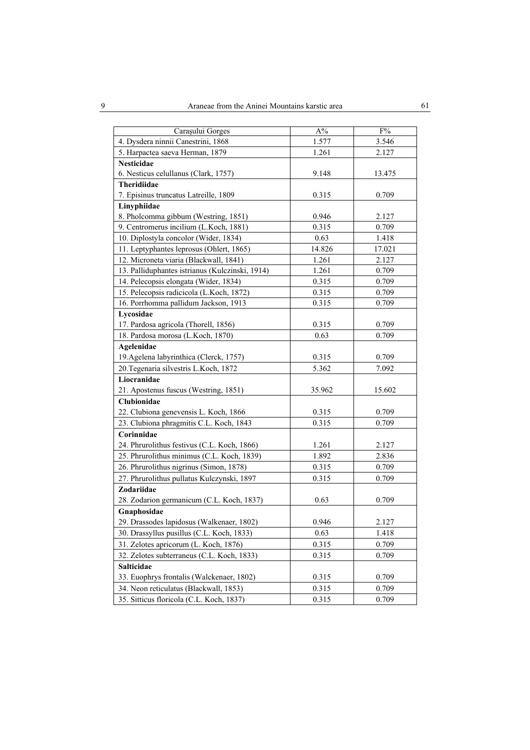| Carașului Gorges                                | $A\%$  | F%     |
|-------------------------------------------------|--------|--------|
| 4. Dysdera ninnii Canestrini, 1868              | 1.577  | 3.546  |
| 5. Harpactea saeva Herman, 1879                 | 1.261  | 2.127  |
| Nesticidae                                      |        |        |
| 6. Nesticus celullanus (Clark, 1757)            | 9.148  | 13.475 |
| Theridiidae                                     |        |        |
| 7. Episinus truncatus Latreille, 1809           | 0.315  | 0.709  |
| Linyphiidae                                     |        |        |
| 8. Pholcomma gibbum (Westring, 1851)            | 0.946  | 2.127  |
| 9. Centromerus incilium (L.Koch, 1881)          | 0.315  | 0.709  |
| 10. Diplostyla concolor (Wider, 1834)           | 0.63   | 1.418  |
| 11. Leptyphantes leprosus (Ohlert, 1865)        | 14.826 | 17.021 |
| 12. Microneta viaria (Blackwall, 1841)          | 1.261  | 2.127  |
| 13. Palliduphantes istrianus (Kulczinski, 1914) | 1.261  | 0.709  |
| 14. Pelecopsis elongata (Wider, 1834)           | 0.315  | 0.709  |
| 15. Pelecopsis radicicola (L.Koch, 1872)        | 0.315  | 0.709  |
| 16. Porrhomma pallidum Jackson, 1913            | 0.315  | 0.709  |
| Lycosidae                                       |        |        |
| 17. Pardosa agricola (Thorell, 1856)            | 0.315  | 0.709  |
| 18. Pardosa morosa (L.Koch, 1870)               | 0.63   | 0.709  |
| Agelenidae                                      |        |        |
| 19. Agelena labyrinthica (Clerck, 1757)         | 0.315  | 0.709  |
| 20. Tegenaria silvestris L. Koch, 1872          | 5.362  | 7.092  |
| Liocranidae                                     |        |        |
| 21. Apostenus fuscus (Westring, 1851)           | 35.962 | 15.602 |
| Clubionidae                                     |        |        |
| 22. Clubiona genevensis L. Koch, 1866           | 0.315  | 0.709  |
| 23. Clubiona phragmitis C.L. Koch, 1843         | 0.315  | 0.709  |
| Corinnidae                                      |        |        |
| 24. Phrurolithus festivus (C.L. Koch, 1866)     | 1.261  | 2.127  |
| 25. Phrurolithus minimus (C.L. Koch, 1839)      | 1.892  | 2.836  |
| 26. Phrurolithus nigrinus (Simon, 1878)         | 0.315  | 0.709  |
| 27. Phrurolithus pullatus Kulczynski, 1897      | 0.315  | 0.709  |
| Zodariidae                                      |        |        |
| 28. Zodarion germanicum (C.L. Koch, 1837)       | 0.63   | 0.709  |
| Gnaphosidae                                     |        |        |
| 29. Drassodes lapidosus (Walkenaer, 1802)       | 0.946  | 2.127  |
| 30. Drassyllus pusillus (C.L. Koch, 1833)       | 0.63   | 1.418  |
| 31. Zelotes apricorum (L. Koch, 1876)           | 0.315  | 0.709  |
| 32. Zelotes subterraneus (C.L. Koch, 1833)      | 0.315  | 0.709  |
| Salticidae                                      |        |        |
| 33. Euophrys frontalis (Walckenaer, 1802)       | 0.315  | 0.709  |
| 34. Neon reticulatus (Blackwall, 1853)          | 0.315  | 0.709  |
| 35. Sitticus floricola (C.L. Koch, 1837)        | 0.315  | 0.709  |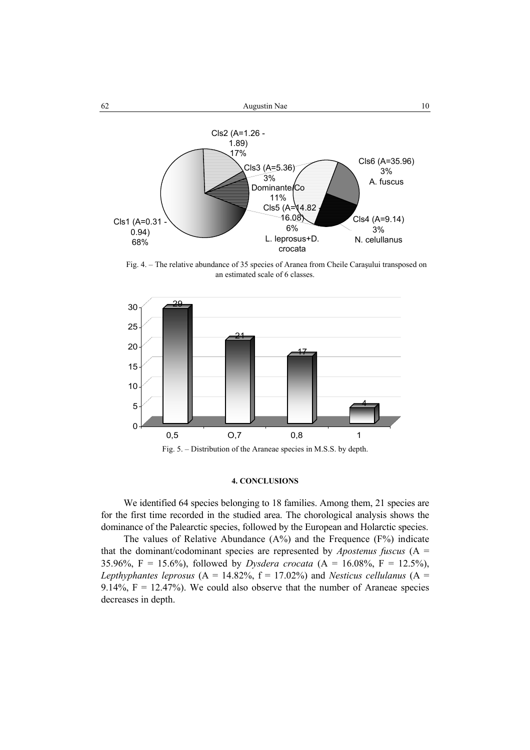



Fig. 4. – The relative abundance of 35 species of Aranea from Cheile Caraşului transposed on an estimated scale of 6 classes.



#### **4. CONCLUSIONS**

We identified 64 species belonging to 18 families. Among them, 21 species are for the first time recorded in the studied area. The chorological analysis shows the dominance of the Palearctic species, followed by the European and Holarctic species.

The values of Relative Abundance (A%) and the Frequence (F%) indicate that the dominant/codominant species are represented by *Apostenus fuscus*  $(A =$ 35.96%, F = 15.6%), followed by *Dysdera crocata* (A = 16.08%, F = 12.5%), *Lepthyphantes leprosus*  $(A = 14.82\%, f = 17.02\%)$  and *Nesticus cellulanus*  $(A = 14.82\%),$ 9.14%,  $F = 12.47\%$ ). We could also observe that the number of Araneae species decreases in depth.